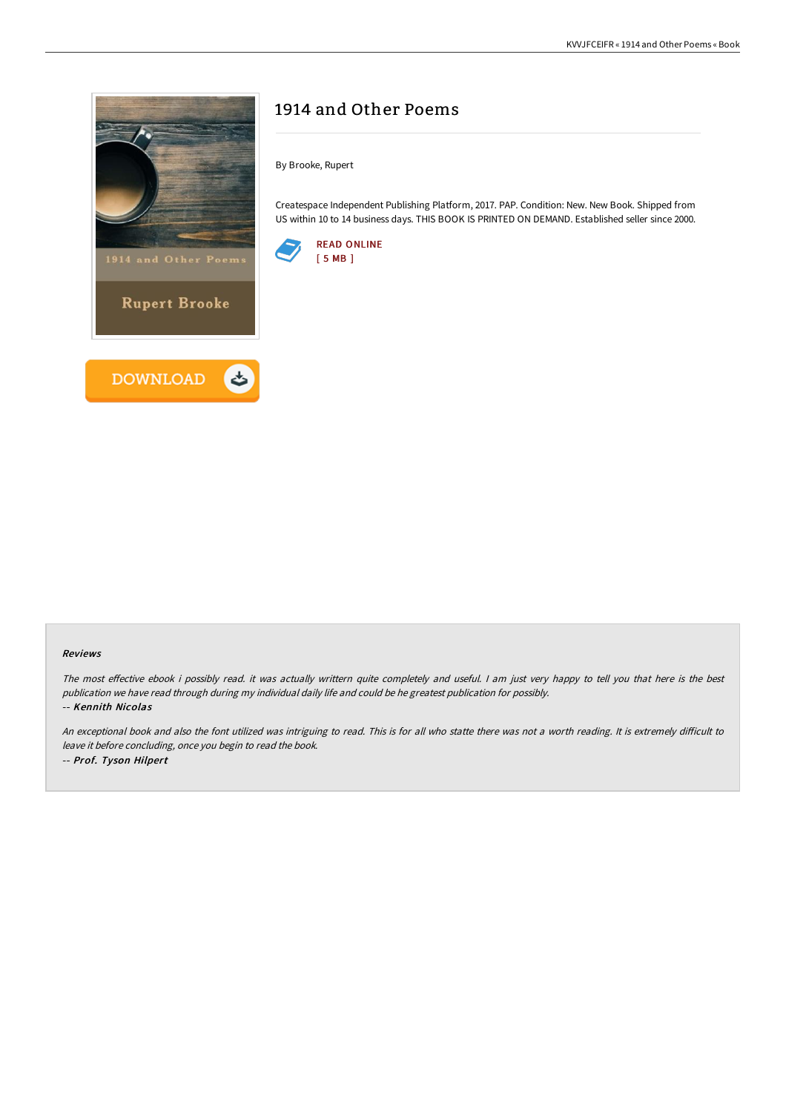

## 1914 and Other Poems

By Brooke, Rupert

Createspace Independent Publishing Platform, 2017. PAP. Condition: New. New Book. Shipped from US within 10 to 14 business days. THIS BOOK IS PRINTED ON DEMAND. Established seller since 2000.



## Reviews

The most effective ebook i possibly read. it was actually writtern quite completely and useful. I am just very happy to tell you that here is the best publication we have read through during my individual daily life and could be he greatest publication for possibly. -- Kennith Nicolas

An exceptional book and also the font utilized was intriguing to read. This is for all who statte there was not a worth reading. It is extremely difficult to leave it before concluding, once you begin to read the book. -- Prof. Tyson Hilpert